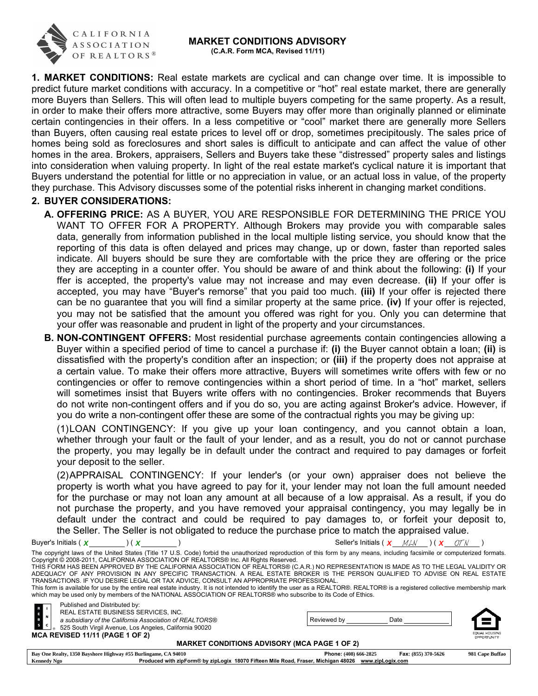## MARKET CONDITIONS ADVISORY



(C.A.R. Form MCA, Revised 11/11)

**1. MARKET CONDITIONS:** Real estate markets are cyclical and can change over time. It is impossible to predict future market conditions with accuracy. In a competitive or "hot" real estate market, there are generally more Buyers than Sellers. This will often lead to multiple buyers competing for the same property. As a result, in order to make their offers more attractive, some Buyers may offer more than originally planned or eliminate certain contingencies in their offers. In a less competitive or "cool" market there are generally more Sellers than Buyers, often causing real estate prices to level off or drop, sometimes precipitously. The sales price of homes being sold as foreclosures and short sales is difficult to anticipate and can affect the value of other homes in the area. Brokers, appraisers, Sellers and Buyers take these "distressed" property sales and listings into consideration when valuing property. In light of the real estate market's cyclical nature it is important that Buyers understand the potential for little or no appreciation in value, or an actual loss in value, of the property they purchase. This Advisory discusses some of the potential risks inherent in changing market conditions.

## 2. BUYER CONSIDERATIONS:

- A. OFFERING PRICE: AS A BUYER, YOU ARE RESPONSIBLE FOR DETERMINING THE PRICE YOU WANT TO OFFER FOR A PROPERTY. Although Brokers may provide you with comparable sales data, generally from information published in the local multiple listing service, you should know that the reporting of this data is often delayed and prices may change, up or down, faster than reported sales indicate. All buyers should be sure they are comfortable with the price they are offering or the price they are accepting in a counter offer. You should be aware of and think about the following: (i) If your ffer is accepted, the property's value may not increase and may even decrease. (ii) If your offer is accepted, you may have "Buyer's remorse" that you paid too much. (iii) If your offer is rejected there can be no guarantee that you will find a similar property at the same price. (iv) If your offer is rejected, you may not be satisfied that the amount you offered was right for you. Only you can determine that your offer was reasonable and prudent in light of the property and your circumstances.
- **B. NON-CONTINGENT OFFERS:** Most residential purchase agreements contain contingencies allowing a Buyer within a specified period of time to cancel a purchase if: (i) the Buyer cannot obtain a loan; (ii) is dissatisfied with the property's condition after an inspection; or (iii) if the property does not appraise at a certain value. To make their offers more attractive, Buyers will sometimes write offers with few or no contingencies or offer to remove contingencies within a short period of time. In a "hot" market, sellers will sometimes insist that Buyers write offers with no contingencies. Broker recommends that Buyers do not write non-contingent offers and if you do so, you are acting against Broker's advice. However, if you do write a non-contingent offer these are some of the contractual rights you may be giving up:

(1)LOAN CONTINGENCY: If you give up your loan contingency, and you cannot obtain a loan, whether through your fault or the fault of your lender, and as a result, you do not or cannot purchase the property, you may legally be in default under the contract and required to pay damages or forfeit your deposit to the seller.

(2)APPRAISAL CONTINGENCY: If your lender's (or your own) appraiser does not believe the property is worth what you have agreed to pay for it, your lender may not loan the full amount needed for the purchase or may not loan any amount at all because of a low appraisal. As a result, if you do not purchase the property, and you have removed your appraisal contingency, you may legally be in default under the contract and could be required to pay damages to, or forfeit your deposit to, the Seller. The Seller is not obligated to reduce the purchase price to match the appraised value.

|                                                                                                                                                                                                                                                                                                                                                                                                                                                                                                                                                                                                                                                                                                                                                                                                                                                                                                                                         | Buyer's Initials $(\chi)$ ( $\chi$                                                                                                                                                                                                  |  |  |  |  |                                                                                                     |  |                     | Seller's Initials $(\mathbf{X} \mathbf{M} \mathbf{M}) (\mathbf{X} \mathbf{M} \mathbf{M})$ |                              |
|-----------------------------------------------------------------------------------------------------------------------------------------------------------------------------------------------------------------------------------------------------------------------------------------------------------------------------------------------------------------------------------------------------------------------------------------------------------------------------------------------------------------------------------------------------------------------------------------------------------------------------------------------------------------------------------------------------------------------------------------------------------------------------------------------------------------------------------------------------------------------------------------------------------------------------------------|-------------------------------------------------------------------------------------------------------------------------------------------------------------------------------------------------------------------------------------|--|--|--|--|-----------------------------------------------------------------------------------------------------|--|---------------------|-------------------------------------------------------------------------------------------|------------------------------|
| The copyright laws of the United States (Title 17 U.S. Code) forbid the unauthorized reproduction of this form by any means, including facsimile or computerized formats.<br>Copyright © 2008-2011, CALIFORNIA ASSOCIATION OF REALTORS® Inc. All Rights Reserved.<br>THIS FORM HAS BEEN APPROVED BY THE CALIFORNIA ASSOCIATION OF REALTORS® (C.A.R.) NO REPRESENTATION IS MADE AS TO THE LEGAL VALIDITY OR<br>ADEQUACY OF ANY PROVISION IN ANY SPECIFIC TRANSACTION. A REAL ESTATE BROKER IS THE PERSON QUALIFIED TO ADVISE ON REAL ESTATE<br>TRANSACTIONS. IF YOU DESIRE LEGAL OR TAX ADVICE, CONSULT AN APPROPRIATE PROFESSIONAL.<br>This form is available for use by the entire real estate industry. It is not intended to identify the user as a REALTOR®. REALTOR® is a registered collective membership mark<br>which may be used only by members of the NATIONAL ASSOCIATION OF REALTORS® who subscribe to its Code of Ethics. |                                                                                                                                                                                                                                     |  |  |  |  |                                                                                                     |  |                     |                                                                                           |                              |
| $\begin{array}{ccc}\nR & & & \\ E & & & \\ B & & & \\ S & & C\n\end{array}$                                                                                                                                                                                                                                                                                                                                                                                                                                                                                                                                                                                                                                                                                                                                                                                                                                                             | Published and Distributed by:<br>REAL ESTATE BUSINESS SERVICES, INC.<br>a subsidiary of the California Association of REALTORS®<br>525 South Virgil Avenue, Los Angeles, California 90020<br><b>MCA REVISED 11/11 (PAGE 1 OF 2)</b> |  |  |  |  | Reviewed by<br><b>MARKET CONDITIONS ADVISORY (MCA PAGE 1 OF 2)</b>                                  |  | Date                |                                                                                           | EQUAL HOUSING<br>OPPORTUNITY |
|                                                                                                                                                                                                                                                                                                                                                                                                                                                                                                                                                                                                                                                                                                                                                                                                                                                                                                                                         | Bay One Realty, 1350 Bayshore Highway #55 Burlingame, CA 94010                                                                                                                                                                      |  |  |  |  | Phone: (408) 666-2825                                                                               |  | Fax: (855) 370-5626 |                                                                                           | 981 Cape Buffao              |
| <b>Kennedy Ngo</b>                                                                                                                                                                                                                                                                                                                                                                                                                                                                                                                                                                                                                                                                                                                                                                                                                                                                                                                      |                                                                                                                                                                                                                                     |  |  |  |  | Produced with zipForm® by zipLogix 18070 Fifteen Mile Road, Fraser, Michigan 48026 www.zipLogix.com |  |                     |                                                                                           |                              |
|                                                                                                                                                                                                                                                                                                                                                                                                                                                                                                                                                                                                                                                                                                                                                                                                                                                                                                                                         |                                                                                                                                                                                                                                     |  |  |  |  |                                                                                                     |  |                     |                                                                                           |                              |